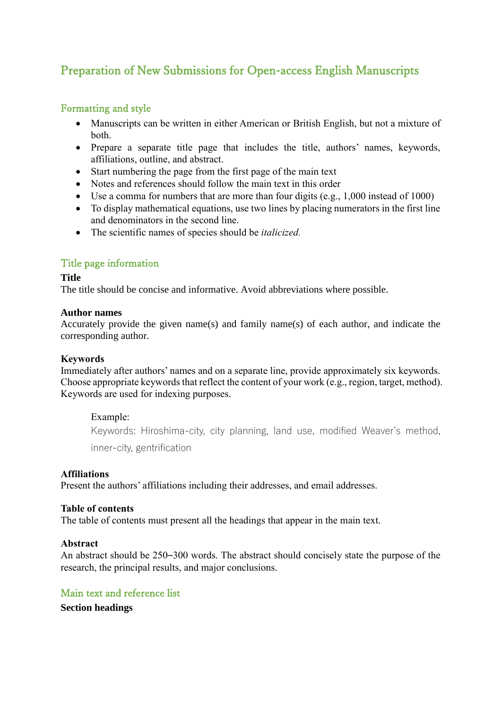# Preparation of New Submissions for Open-access English Manuscripts

# Formatting and style

- Manuscripts can be written in either American or British English, but not a mixture of both.
- Prepare a separate title page that includes the title, authors' names, keywords, affiliations, outline, and abstract.
- Start numbering the page from the first page of the main text
- Notes and references should follow the main text in this order
- Use a comma for numbers that are more than four digits (e.g., 1,000 instead of 1000)
- To display mathematical equations, use two lines by placing numerators in the first line and denominators in the second line.
- The scientific names of species should be *italicized.*

# Title page information

## **Title**

The title should be concise and informative. Avoid abbreviations where possible.

## **Author names**

Accurately provide the given name(s) and family name(s) of each author, and indicate the corresponding author.

## **Keywords**

Immediately after authors' names and on a separate line, provide approximately six keywords. Choose appropriate keywords that reflect the content of your work (e.g., region, target, method). Keywords are used for indexing purposes.

## Example:

Keywords: Hiroshima-city, city planning, land use, modified Weaver's method, inner-city, gentrification

## **Affiliations**

Present the authors' affiliations including their addresses, and email addresses.

## **Table of contents**

The table of contents must present all the headings that appear in the main text.

## **Abstract**

An abstract should be 250–300 words. The abstract should concisely state the purpose of the research, the principal results, and major conclusions.

## Main text and reference list

**Section headings**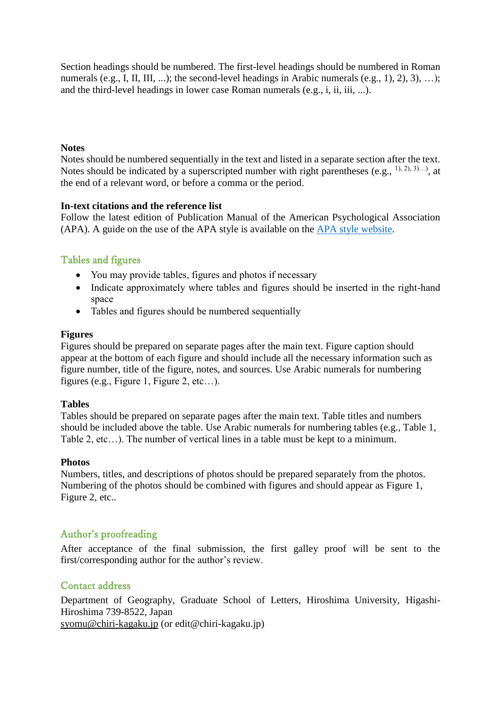Section headings should be numbered. The first-level headings should be numbered in Roman numerals (e.g., I, II, III, ...); the second-level headings in Arabic numerals (e.g., 1), 2), 3), ...); and the third-level headings in lower case Roman numerals (e.g., i, ii, iii, ...).

## **Notes**

Notes should be numbered sequentially in the text and listed in a separate section after the text. Notes should be indicated by a superscripted number with right parentheses (e.g.,  $^{1}$ ),  $^{2}$ ),  $^{3}$ )…), at the end of a relevant word, or before a comma or the period.

## **In-text citations and the reference list**

Follow the latest edition of Publication Manual of the American Psychological Association (APA). A guide on the use of the APA style is available on the  $APA$  style website.

# Tables and figures

- You may provide tables, figures and photos if necessary
- Indicate approximately where tables and figures should be inserted in the right-hand space
- Tables and figures should be numbered sequentially

## **Figures**

Figures should be prepared on separate pages after the main text. Figure caption should appear at the bottom of each figure and should include all the necessary information such as figure number, title of the figure, notes, and sources. Use Arabic numerals for numbering figures (e.g., Figure 1, Figure 2, etc…).

## **Tables**

Tables should be prepared on separate pages after the main text. Table titles and numbers should be included above the table. Use Arabic numerals for numbering tables (e.g., Table 1, Table 2, etc…). The number of vertical lines in a table must be kept to a minimum.

## **Photos**

Numbers, titles, and descriptions of photos should be prepared separately from the photos. Numbering of the photos should be combined with figures and should appear as Figure 1, Figure 2, etc..

## Author's proofreading

After acceptance of the final submission, the first galley proof will be sent to the first/corresponding author for the author's review.

## Contact address

Department of Geography, Graduate School of Letters, Hiroshima University, Higashi-Hiroshima 739-8522, Japan [syomu@chiri-kagaku.jp](mailto:syomu@chiri-kagaku.jp) (or edit@chiri-kagaku.jp)